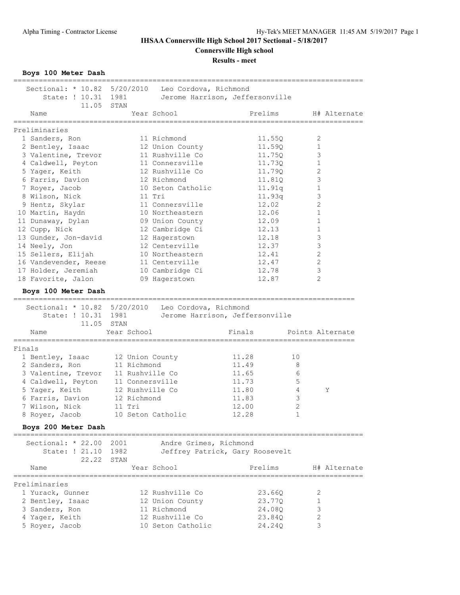**Connersville High school**

**Results - meet**

**Boys 100 Meter Dash**

| Sectional: * 10.82 5/20/2010 Leo Cordova, Richmond<br>State: ! 10.31 1981 |                   | Jerome Harrison, Jeffersonville |                                  |                |                  |
|---------------------------------------------------------------------------|-------------------|---------------------------------|----------------------------------|----------------|------------------|
| 11.05 STAN<br>Name                                                        |                   | Year School                     | Prelims                          |                | H# Alternate     |
| Preliminaries                                                             |                   |                                 |                                  |                |                  |
| 1 Sanders, Ron                                                            |                   | 11 Richmond                     | 11.55Q                           |                | 2                |
| 2 Bentley, Isaac                                                          |                   | 12 Union County                 | 11.59Q                           |                | 1                |
| 3 Valentine, Trevor                                                       |                   | 11 Rushville Co                 | 11.750                           |                | 3                |
| 4 Caldwell, Peyton                                                        |                   | 11 Connersville                 | 11.73Q                           |                | $\mathbf 1$      |
| 5 Yager, Keith                                                            |                   | 12 Rushville Co                 | 11.790                           |                | $\mathbf{2}$     |
| 6 Farris, Davion                                                          |                   | 12 Richmond                     | 11.81Q                           |                | $\mathsf 3$      |
|                                                                           |                   | 10 Seton Catholic               |                                  |                | $\mathbf 1$      |
| 7 Royer, Jacob                                                            |                   | 11 Tri                          | 11.91q                           |                | 3                |
| 8 Wilson, Nick                                                            |                   |                                 | 11.93q                           |                |                  |
| 9 Hentz, Skylar                                                           |                   | 11 Connersville                 | 12.02                            |                | 2                |
| 10 Martin, Haydn                                                          |                   | 10 Northeastern                 | 12.06                            |                | 1                |
| 11 Dunaway, Dylan                                                         |                   | 09 Union County                 | 12.09                            |                | $\mathbf 1$      |
| 12 Cupp, Nick                                                             |                   | 12 Cambridge Ci                 | 12.13                            |                | $\mathbf 1$      |
| 13 Gunder, Jon-david                                                      |                   | 12 Hagerstown                   | 12.18                            |                | $\mathsf 3$      |
| 14 Neely, Jon                                                             |                   | 12 Centerville                  | 12.37                            |                | 3                |
| 15 Sellers, Elijah                                                        |                   | 10 Northeastern                 | 12.41                            |                | 2                |
| 16 Vandevender, Reese                                                     |                   | 11 Centerville                  | 12.47                            |                | 2                |
| 17 Holder, Jeremiah                                                       |                   | 10 Cambridge Ci                 | 12.78                            |                | $\mathsf 3$      |
| 18 Favorite, Jalon                                                        |                   | 09 Hagerstown                   | 12.87                            |                | $\overline{2}$   |
| Boys 100 Meter Dash                                                       |                   |                                 |                                  |                |                  |
| Sectional: * 10.82 5/20/2010 Leo Cordova, Richmond                        |                   |                                 |                                  |                |                  |
| State: ! 10.31 1981<br>11.05 STAN                                         |                   | Jerome Harrison, Jeffersonville |                                  |                |                  |
| Name                                                                      | Year School       |                                 | Finals                           |                | Points Alternate |
| Finals                                                                    |                   |                                 |                                  |                |                  |
| 1 Bentley, Isaac                                                          | 12 Union County   |                                 | 11.28                            | 10             |                  |
| 2 Sanders, Ron                                                            | 11 Richmond       |                                 | 11.49                            | 8              |                  |
| 3 Valentine, Trevor                                                       | 11 Rushville Co   |                                 | 11.65                            | 6              |                  |
| 4 Caldwell, Peyton 11 Connersville                                        |                   |                                 | 11.73                            | 5              |                  |
| 5 Yager, Keith                                                            | 12 Rushville Co   |                                 | 11.80                            | 4              | Υ                |
| 6 Farris, Davion                                                          | 12 Richmond       |                                 | 11.83                            | 3              |                  |
| 7 Wilson, Nick                                                            | 11 Tri            |                                 | 12.00                            | $\overline{2}$ |                  |
| 8 Royer, Jacob                                                            | 10 Seton Catholic |                                 | 12.28                            | $\,1\,$        |                  |
|                                                                           |                   |                                 |                                  |                |                  |
| Boys 200 Meter Dash                                                       |                   |                                 |                                  |                |                  |
| Sectional: * 22.00                                                        | 2001              | Andre Grimes, Richmond          |                                  |                |                  |
| State: ! 21.10                                                            | 1982              | Jeffrey Patrick, Gary Roosevelt |                                  |                |                  |
| 22.22                                                                     | STAN              |                                 |                                  |                |                  |
| Name                                                                      |                   | Year School                     | Prelims                          |                | H# Alternate     |
|                                                                           |                   |                                 | ________________________________ |                |                  |
| Preliminaries                                                             |                   |                                 |                                  |                |                  |
| 1 Yurack, Gunner                                                          |                   | 12 Rushville Co                 | 23.66Q                           |                | 2                |
| 2 Bentley, Isaac                                                          |                   | 12 Union County                 | 23.77Q                           |                | 1                |
| 3 Sanders, Ron                                                            |                   | 11 Richmond                     | 24.080                           |                | 3                |
| 4 Yager, Keith                                                            |                   | 12 Rushville Co                 | 23.84Q                           |                | 2                |
| 5 Royer, Jacob                                                            |                   | 10 Seton Catholic               | 24.24Q                           |                | 3                |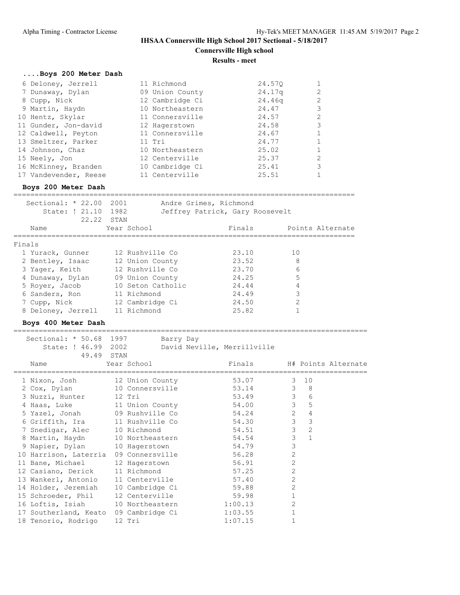**Results - meet**

# **....Boys 200 Meter Dash**

| 6 Deloney, Jerrell    | 11 Richmond     | 24.570 |                |
|-----------------------|-----------------|--------|----------------|
| 7 Dunaway, Dylan      | 09 Union County | 24.17q | 2              |
| 8 Cupp, Nick          | 12 Cambridge Ci | 24.46g | 2              |
| 9 Martin, Haydn       | 10 Northeastern | 24.47  | 3              |
| 10 Hentz, Skylar      | 11 Connersville | 24.57  | $\overline{2}$ |
| 11 Gunder, Jon-david  | 12 Hagerstown   | 24.58  | 3              |
| 12 Caldwell, Peyton   | 11 Connersville | 24.67  |                |
| 13 Smeltzer, Parker   | $11$ Tri        | 24.77  |                |
| 14 Johnson, Chaz      | 10 Northeastern | 25.02  |                |
| 15 Neely, Jon         | 12 Centerville  | 25.37  | 2              |
| 16 McKinney, Branden  | 10 Cambridge Ci | 25.41  | 3              |
| 17 Vandevender, Reese | 11 Centerville  | 25.51  |                |

## **Boys 200 Meter Dash**

|        | Sectional: $* 22.00$<br>State: ! 21.10 1982 | 2001              | Andre Grimes, Richmond<br>Jeffrey Patrick, Gary Roosevelt |                  |
|--------|---------------------------------------------|-------------------|-----------------------------------------------------------|------------------|
|        | 22,22 STAN                                  |                   |                                                           |                  |
|        | Name                                        | Year School       | Finals                                                    | Points Alternate |
| Finals |                                             |                   |                                                           |                  |
|        | 1 Yurack, Gunner                            | 12 Rushville Co   | 23.10                                                     | 10               |
|        | 2 Bentley, Isaac                            | 12 Union County   | 23.52                                                     | 8                |
|        | 3 Yaqer, Keith                              | 12 Rushville Co   | 23.70                                                     | 6                |
|        | 4 Dunaway, Dylan                            | 09 Union County   | 24.25                                                     | 5                |
|        | 5 Royer, Jacob                              | 10 Seton Catholic | 24.44                                                     | 4                |
|        | 6 Sanders, Ron                              | 11 Richmond       | 24.49                                                     | 3                |
|        | 7 Cupp, Nick                                | 12 Cambridge Ci   | 24.50                                                     | $\mathfrak{D}$   |
|        | 8 Deloney, Jerrell                          | 11 Richmond       | 25.82                                                     |                  |

## **Boys 400 Meter Dash**

| Sectional: * 50.68 1997                  |               | Barry Day                   |                                 |  |
|------------------------------------------|---------------|-----------------------------|---------------------------------|--|
| State: ! 46.99 2002                      |               | David Neville, Merrillville |                                 |  |
| 49.49 STAN                               |               |                             |                                 |  |
| Name                                     | Year School   | Finals H# Points Alternate  |                                 |  |
| ==============================           |               |                             |                                 |  |
| 1 Nixon, Josh 12 Union County            |               | 53.07                       | 10<br>$\mathcal{B}$             |  |
| 2 Cox, Dylan 10 Connersville             |               | 53.14 3 8                   |                                 |  |
| 3 Nuzzi, Hunter 12 Tri                   |               | 53.49                       | 3 <sup>7</sup><br>6             |  |
| 4 Haas, Luke 11 Union County             |               | 54.00                       | $\overline{\mathbf{3}}$<br>$-5$ |  |
| 5 Yazel, Jonah 09 Rushville Co           |               | 54.24 2                     | $\overline{4}$                  |  |
| 6 Griffith, Ira 11 Rushville Co          |               | 54.30                       | 3 <sup>7</sup><br>$\mathbf{3}$  |  |
| 7 Snedigar, Alec 10 Richmond             |               | 54.51                       | 3 <sup>7</sup><br>2             |  |
| 8 Martin, Haydn 10 Northeastern          |               | 54.54                       | $\mathcal{S}$<br>$\mathbf{1}$   |  |
| 9 Napier, Dylan 10 Hagerstown            |               | 54.79                       | $\mathcal{S}$                   |  |
| 10 Harrison, Laterria 09 Connersville    |               | 56.28                       | 2                               |  |
| 11 Bane, Michael                         | 12 Hagerstown | 56.91                       | $\mathbf{2}$                    |  |
| 12 Casiano, Derick 11 Richmond           |               | 57.25                       | $\overline{2}$                  |  |
| 13 Wankerl, Antonio 11 Centerville       |               | 57.40                       | $\overline{c}$                  |  |
| 14 Holder, Jeremiah 10 Cambridge Ci      |               | 59.88                       | $\overline{2}$                  |  |
| 15 Schroeder, Phil 12 Centerville        |               | 59.98                       |                                 |  |
| 16 Loftis, Isiah 10 Northeastern 1:00.13 |               |                             | $\overline{2}$                  |  |
| 17 Southerland, Keato 09 Cambridge Ci    |               | 1:03.55                     | $\mathbf 1$                     |  |
| 18 Tenorio, Rodrigo                      | 12 Tri        | 1:07.15                     |                                 |  |
|                                          |               |                             |                                 |  |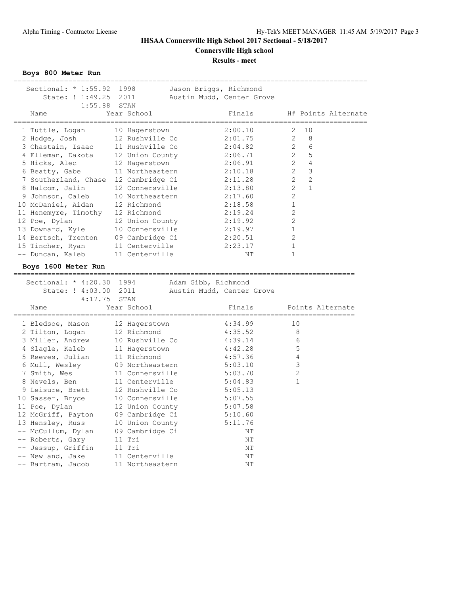**Results - meet**

**Boys 800 Meter Run**

| Sectional: $* 1:55.92$<br>State: ! 1:49.25<br>1:55.88<br>Name |       | 1998<br>Jason Briggs, Richmond<br>2011<br>STAN<br>Year School | Austin Mudd, Center Grove<br>Finals |                       |                | H# Points Alternate |
|---------------------------------------------------------------|-------|---------------------------------------------------------------|-------------------------------------|-----------------------|----------------|---------------------|
|                                                               |       |                                                               |                                     |                       |                |                     |
| 1 Tuttle, Logan                                               |       | 10 Hagerstown                                                 | 2:00.10                             | 2                     | 10             |                     |
| 2 Hodge, Josh                                                 |       | 12 Rushville Co                                               | 2:01.75                             | 2                     | 8              |                     |
| 3 Chastain, Isaac                                             |       | 11 Rushville Co                                               | 2:04.82                             | $\overline{2}$        | 6              |                     |
| 4 Elleman, Dakota                                             |       | 12 Union County                                               | 2:06.71                             | $\overline{2}$        | 5              |                     |
| 5 Hicks, Alec                                                 |       | 12 Hagerstown                                                 | 2:06.91                             | $\overline{2}$        | $\overline{4}$ |                     |
| 6 Beatty, Gabe                                                |       | 11 Northeastern                                               | 2:10.18                             | $\overline{2}$        | 3              |                     |
| 7 Southerland, Chase 12 Cambridge Ci                          |       |                                                               | 2:11.28                             | $\mathbf{2}^{\prime}$ | 2              |                     |
| 8 Halcom, Jalin                                               |       | 12 Connersville                                               | 2:13.80                             | $\overline{2}$        | $\mathbf{1}$   |                     |
| 9 Johnson, Caleb                                              |       | 10 Northeastern                                               | 2:17.60                             | $\overline{2}$        |                |                     |
| 10 McDaniel, Aidan                                            |       | 12 Richmond                                                   | 2:18.58                             | $\mathbf{1}$          |                |                     |
| 11 Henemyre, Timothy 12 Richmond                              |       |                                                               | 2:19.24                             | $\overline{2}$        |                |                     |
| 12 Poe, Dylan                                                 |       | 12 Union County                                               | 2:19.92                             | 2                     |                |                     |
| 13 Downard, Kyle                                              |       | 10 Connersville                                               | 2:19.97                             | 1                     |                |                     |
| 14 Bertsch, Trenton                                           |       | 09 Cambridge Ci                                               | 2:20.51                             | $\overline{2}$        |                |                     |
| 15 Tincher, Ryan                                              |       | 11 Centerville                                                | 2:23.17                             | $\mathbf{1}$          |                |                     |
| -- Duncan, Kaleb                                              |       | 11 Centerville                                                | NΤ                                  | $\mathbf{1}$          |                |                     |
| Boys 1600 Meter Run                                           |       |                                                               |                                     |                       |                |                     |
| ____________                                                  | ----- |                                                               |                                     |                       |                |                     |
|                                                               |       |                                                               |                                     |                       |                |                     |
| Sectional: $* 4:20.30$                                        |       | 1994<br>Adam Gibb, Richmond                                   |                                     |                       |                |                     |
| State: ! 4:03.00                                              |       | 2011                                                          | Austin Mudd, Center Grove           |                       |                |                     |
| 4:17.75 STAN                                                  |       |                                                               |                                     |                       |                |                     |
| Name                                                          |       | Year School                                                   | Finals                              |                       |                | Points Alternate    |
|                                                               |       |                                                               |                                     |                       |                | =============       |
| 1 Bledsoe, Mason                                              |       | 12 Hagerstown                                                 | 4:34.99                             | 10                    |                |                     |
| 2 Tilton, Logan                                               |       | 12 Richmond                                                   | 4:35.52                             |                       | 8              |                     |
| 3 Miller, Andrew                                              |       | 10 Rushville Co                                               | 4:39.14                             |                       | 6              |                     |
| 4 Slagle, Kaleb                                               |       | 11 Hagerstown                                                 | 4:42.28                             |                       | 5              |                     |
| 5 Reeves, Julian                                              |       | 11 Richmond                                                   | 4:57.36                             |                       | 4              |                     |
| 6 Mull, Wesley                                                |       | 09 Northeastern                                               | 5:03.10                             |                       | 3              |                     |
| 7 Smith, Wes                                                  |       | 11 Connersville                                               | 5:03.70                             |                       | $\mathbf{2}$   |                     |
| 8 Nevels, Ben                                                 |       | 11 Centerville                                                | 5:04.83                             |                       | 1              |                     |
| 9 Leisure, Brett                                              |       | 12 Rushville Co                                               | 5:05.13                             |                       |                |                     |
| 10 Sasser, Bryce                                              |       | 10 Connersville                                               | 5:07.55                             |                       |                |                     |
| 11 Poe, Dylan                                                 |       | 12 Union County                                               | 5:07.58                             |                       |                |                     |
| 12 McGriff, Payton                                            |       | 09 Cambridge Ci                                               | 5:10.60                             |                       |                |                     |
| 13 Hensley, Russ                                              |       | 10 Union County                                               | 5:11.76                             |                       |                |                     |
| -- McCullum, Dylan                                            |       | 09 Cambridge Ci                                               | NΤ                                  |                       |                |                     |
| -- Roberts, Gary                                              |       | 11 Tri                                                        | NΤ                                  |                       |                |                     |
| -- Jessup, Griffin<br>-- Newland, Jake                        |       | 11 Tri<br>11 Centerville                                      | NΤ<br>NΤ                            |                       |                |                     |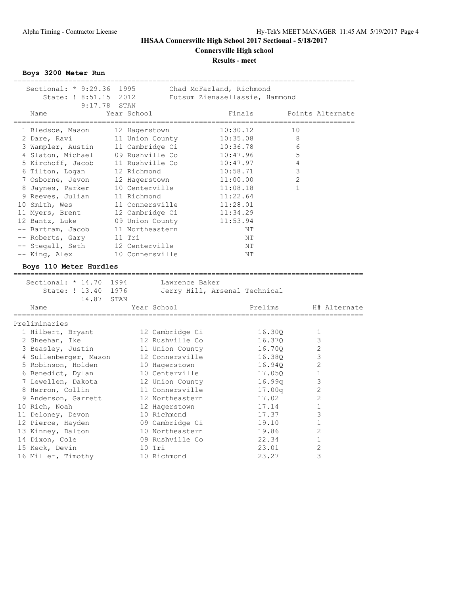# **Results - meet**

**Boys 3200 Meter Run**

| Sectional: * 9:29.36 1995<br>State: ! 8:51.15 2012 |                 | Chad McFarland, Richmond<br>Futsum Zienasellassie, Hammond |                                            |
|----------------------------------------------------|-----------------|------------------------------------------------------------|--------------------------------------------|
| 9:17.78                                            | STAN            |                                                            |                                            |
| Name<br>------------------------------             | Year School     | Finals                                                     | Points Alternate<br>---------------------- |
| 1 Bledsoe, Mason                                   | 12 Hagerstown   | 10:30.12                                                   | 10                                         |
| 2 Dare, Ravi                                       | 11 Union County | 10:35.08                                                   | 8                                          |
| 3 Wampler, Austin                                  | 11 Cambridge Ci | 10:36.78                                                   | 6                                          |
| 4 Slaton, Michael                                  | 09 Rushville Co | 10:47.96                                                   | 5                                          |
| 5 Kirchoff, Jacob                                  | 11 Rushville Co | 10:47.97                                                   | $\overline{4}$                             |
| 6 Tilton, Logan                                    | 12 Richmond     | 10:58.71                                                   | 3                                          |
| 7 Osborne, Jevon                                   | 12 Hagerstown   | 11:00.00                                                   | $\overline{2}$                             |
| 8 Jaynes, Parker                                   | 10 Centerville  | 11:08.18                                                   | $\mathbf{1}$                               |
| 9 Reeves, Julian                                   | 11 Richmond     | 11:22.64                                                   |                                            |
| 10 Smith, Wes                                      | 11 Connersville | 11:28.01                                                   |                                            |
| 11 Myers, Brent                                    | 12 Cambridge Ci | 11:34.29                                                   |                                            |
| 12 Bantz, Luke                                     | 09 Union County | 11:53.94                                                   |                                            |
| -- Bartram, Jacob                                  | 11 Northeastern | ΝT                                                         |                                            |
| -- Roberts, Gary                                   | 11 Tri          | NΤ                                                         |                                            |
| -- Stegall, Seth                                   | 12 Centerville  | NΤ                                                         |                                            |
| -- King, Alex                                      | 10 Connersville | ΝT                                                         |                                            |
| Boys 110 Meter Hurdles                             |                 |                                                            |                                            |
| Sectional: * 14.70 1994                            |                 |                                                            |                                            |
| State: ! 13.40 1976                                |                 | Lawrence Baker                                             |                                            |
| 14.87 STAN                                         |                 | Jerry Hill, Arsenal Technical                              |                                            |
| Name                                               | Year School     |                                                            | Prelims<br>H# Alternate                    |
| Preliminaries                                      |                 |                                                            |                                            |
| 1 Hilbert, Bryant                                  | 12 Cambridge Ci |                                                            | 16.30Q<br>1                                |
| 2 Sheehan, Ike                                     | 12 Rushville Co |                                                            | 3<br>16.37Q                                |
| 3 Beasley, Justin                                  | 11 Union County |                                                            | 2<br>16.70Q                                |
| 4 Sullenberger, Mason                              | 12 Connersville |                                                            | $\mathsf 3$<br>16.38Q                      |
| 5 Robinson, Holden                                 | 10 Hagerstown   |                                                            | $\overline{2}$<br>16.94Q                   |
| 6 Benedict, Dylan                                  | 10 Centerville  |                                                            | 17.05Q<br>1                                |
| 7 Lewellen, Dakota                                 | 12 Union County |                                                            | 3<br>16.99q                                |
| 8 Herron, Collin                                   | 11 Connersville |                                                            | 2<br>17.00q                                |
| 9 Anderson, Garrett                                | 12 Northeastern |                                                            | $\mathbf{2}$<br>17.02                      |
| 10 Rich, Noah                                      | 12 Hagerstown   |                                                            | 17.14<br>1                                 |
| 11 Deloney, Devon                                  | 10 Richmond     |                                                            | 3<br>17.37                                 |
| 12 Pierce, Hayden                                  | 09 Cambridge Ci |                                                            | $\mathbf{1}$<br>19.10                      |
| 13 Kinney, Dalton                                  | 10 Northeastern |                                                            | $\mathbf{2}$<br>19.86                      |
| 14 Dixon, Cole                                     | 09 Rushville Co |                                                            | $\mathbf 1$<br>22.34                       |
| 15 Keck, Devin                                     | $10$ Tri        |                                                            | $\mathbf{2}$<br>23.01                      |
| 16 Miller, Timothy                                 | 10 Richmond     |                                                            | 3<br>23.27                                 |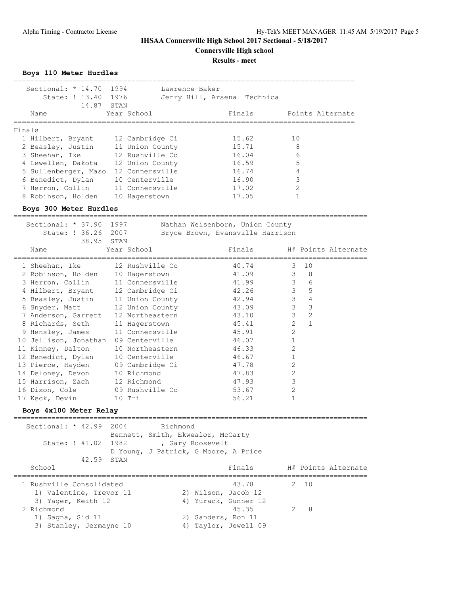**Connersville High school**

**Results - meet**

**Boys 110 Meter Hurdles**

| Sectional: $* 14.70$<br>State: ! 13.40 1976<br>14.87 STAN | 1994            | Lawrence Baker | Jerry Hill, Arsenal Technical |                  |
|-----------------------------------------------------------|-----------------|----------------|-------------------------------|------------------|
| Name                                                      | Year School     |                | Finals                        | Points Alternate |
| Finals                                                    |                 |                |                               |                  |
| 1 Hilbert, Bryant                                         | 12 Cambridge Ci |                | 15.62                         | 10               |
| 2 Beasley, Justin                                         | 11 Union County |                | 15.71                         | 8                |
| 3 Sheehan, Ike                                            | 12 Rushville Co |                | 16.04                         | 6                |
| 4 Lewellen, Dakota                                        | 12 Union County |                | 16.59                         | 5                |
| 5 Sullenberger, Maso                                      | 12 Connersville |                | 16.74                         | 4                |
| 6 Benedict, Dylan                                         | 10 Centerville  |                | 16.90                         | 3                |
| 7 Herron, Collin                                          | 11 Connersville |                | 17.02                         | $\mathfrak{D}$   |
| 8 Robinson, Holden                                        | 10 Hagerstown   |                | 17.05                         |                  |

#### **Boys 300 Meter Hurdles**

|  | Sectional: * 37.90 1997              |             |                 | Nathan Weisenborn, Union County  |                |                 |  |
|--|--------------------------------------|-------------|-----------------|----------------------------------|----------------|-----------------|--|
|  | State: ! 36.26 2007                  |             |                 | Bryce Brown, Evansville Harrison |                |                 |  |
|  | 38.95 STAN                           |             |                 |                                  |                |                 |  |
|  | Name                                 | Year School |                 | Finals H# Points Alternate       |                |                 |  |
|  | 1 Sheehan, Ike 12 Rushville Co       |             |                 | 40.74                            | $\mathcal{E}$  | 10              |  |
|  | 2 Robinson, Holden 10 Hagerstown     |             |                 | 41.09                            | 3 <sup>7</sup> | 8               |  |
|  | 3 Herron, Collin 11 Connersville     |             |                 | 41.99                            | $\mathcal{E}$  | 6               |  |
|  | 4 Hilbert, Bryant 12 Cambridge Ci    |             |                 | 42.26                            | 3 <sup>7</sup> | $5\phantom{.0}$ |  |
|  | 5 Beasley, Justin 11 Union County    |             |                 | 42.94                            | $\mathcal{S}$  | $\overline{4}$  |  |
|  | 6 Snyder, Matt 12 Union County       |             |                 | 43.09                            | $\mathcal{S}$  | 3               |  |
|  | 7 Anderson, Garrett 12 Northeastern  |             |                 | 43.10                            | $\mathcal{E}$  | 2               |  |
|  | 8 Richards, Seth                     |             | 11 Hagerstown   | 45.41                            | $\overline{2}$ | $\mathbf{1}$    |  |
|  | 9 Hensley, James 11 Connersville     |             |                 | 45.91                            | $\overline{2}$ |                 |  |
|  | 10 Jellison, Jonathan 09 Centerville |             |                 | 46.07                            | $\mathbf 1$    |                 |  |
|  | 11 Kinney, Dalton                    |             | 10 Northeastern | 46.33                            | $\overline{2}$ |                 |  |
|  | 12 Benedict, Dylan 10 Centerville    |             |                 | 46.67                            |                |                 |  |
|  | 13 Pierce, Hayden 09 Cambridge Ci    |             |                 | 47.78                            | 2              |                 |  |
|  | 14 Deloney, Devon 10 Richmond        |             |                 | 47.83                            | $\overline{2}$ |                 |  |
|  | 15 Harrison, Zach 12 Richmond        |             |                 | 47.93                            | 3              |                 |  |
|  | 16 Dixon, Cole 09 Rushville Co       |             |                 | 53.67                            | $\overline{2}$ |                 |  |
|  | 17 Keck, Devin                       | 10 Tri      |                 | 56.21                            |                |                 |  |
|  |                                      |             |                 |                                  |                |                 |  |

#### **Boys 4x100 Meter Relay**

| Sectional: * 42.99 2004  |                     | Bennett, Smith, Ekwealor, McCarty | Richmond |                  |                                      |               |      |                     |
|--------------------------|---------------------|-----------------------------------|----------|------------------|--------------------------------------|---------------|------|---------------------|
|                          | State: ! 41.02 1982 |                                   |          | , Gary Roosevelt |                                      |               |      |                     |
|                          |                     |                                   |          |                  | D Young, J Patrick, G Moore, A Price |               |      |                     |
|                          | 42.59 STAN          |                                   |          |                  |                                      |               |      |                     |
| School                   |                     |                                   |          |                  | Finals                               |               |      | H# Points Alternate |
| 1 Rushville Consolidated |                     |                                   |          |                  | 43.78                                |               | 2 10 |                     |
| 1) Valentine, Trevor 11  |                     |                                   |          |                  | 2) Wilson, Jacob 12                  |               |      |                     |
| 3) Yager, Keith 12       |                     |                                   |          |                  | 4) Yurack, Gunner 12                 |               |      |                     |
| 2 Richmond               |                     |                                   |          |                  | 45.35                                | $\mathcal{L}$ | - 8  |                     |
| 1) Sagna, Sid 11         |                     |                                   |          |                  | 2) Sanders, Ron 11                   |               |      |                     |
| 3) Stanley, Jermayne 10  |                     |                                   |          |                  | 4) Taylor, Jewell 09                 |               |      |                     |
|                          |                     |                                   |          |                  |                                      |               |      |                     |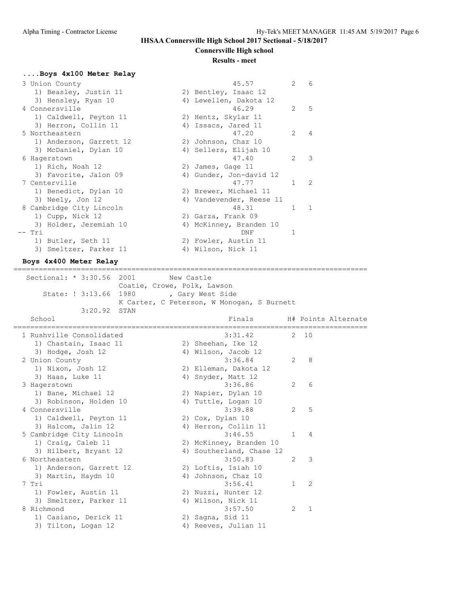**Connersville High school**

#### **Results - meet**

# **....Boys 4x100 Meter Relay**

| 3 Union County           | 45.57                    | $\mathcal{L}$ | 6             |
|--------------------------|--------------------------|---------------|---------------|
| 1) Beasley, Justin 11    | 2) Bentley, Isaac 12     |               |               |
| 3) Hensley, Ryan 10      | 4) Lewellen, Dakota 12   |               |               |
| 4 Connersville           | 46.29                    | 2             | 5             |
| 1) Caldwell, Peyton 11   | 2) Hentz, Skylar 11      |               |               |
| 3) Herron, Collin 11     | 4) Issacs, Jared 11      |               |               |
| 5 Northeastern           | 47.20                    | $\mathcal{L}$ | 4             |
| 1) Anderson, Garrett 12  | 2) Johnson, Chaz 10      |               |               |
| 3) McDaniel, Dylan 10    | 4) Sellers, Elijah 10    |               |               |
| 6 Hagerstown             | 47.40                    | $\mathcal{L}$ | 3             |
| 1) Rich, Noah 12         | 2) James, Gage 11        |               |               |
| 3) Favorite, Jalon 09    | 4) Gunder, Jon-david 12  |               |               |
| 7 Centerville            | 47.77                    | 1             | $\mathcal{L}$ |
| 1) Benedict, Dylan 10    | 2) Brewer, Michael 11    |               |               |
| 3) Neely, Jon 12         | 4) Vandevender, Reese 11 |               |               |
| 8 Cambridge City Lincoln | 48.31                    | $\mathbf{1}$  | $\mathbf{1}$  |
| 1) Cupp, Nick 12         | 2) Garza, Frank 09       |               |               |
| 3) Holder, Jeremiah 10   | 4) McKinney, Branden 10  |               |               |
| -- Tri                   | DNF                      |               |               |
| 1) Butler, Seth 11       | 2) Fowler, Austin 11     |               |               |
| 3) Smeltzer, Parker 11   | 4) Wilson, Nick 11       |               |               |
|                          |                          |               |               |

#### **Boys 4x400 Meter Relay**

==================================================================================== Sectional: \* 3:30.56 2001 New Castle Coatie, Crowe, Polk, Lawson State: ! 3:13.66 1980 , Gary West Side K Carter, C Peterson, W Monogan, S Burnett 3:20.92 STAN

| School                   | Finals                   |              | H# Points Alternate |
|--------------------------|--------------------------|--------------|---------------------|
| 1 Rushville Consolidated | 3:31.42                  |              | 2 10                |
| 1) Chastain, Isaac 11    | 2) Sheehan, Ike 12       |              |                     |
| 3) Hodge, Josh 12        | 4) Wilson, Jacob 12      |              |                     |
| 2 Union County           | 3:36.84                  | 2            | -8                  |
| 1) Nixon, Josh 12        | 2) Elleman, Dakota 12    |              |                     |
| 3) Haas, Luke 11         | 4) Snyder, Matt 12       |              |                     |
| 3 Hagerstown             | 3:36.86                  | 2            | 6                   |
| 1) Bane, Michael 12      | 2) Napier, Dylan 10      |              |                     |
| 3) Robinson, Holden 10   | 4) Tuttle, Logan 10      |              |                     |
| 4 Connersville           | 3:39.88                  | 2            | 5                   |
| 1) Caldwell, Peyton 11   | 2) Cox, Dylan 10         |              |                     |
| 3) Halcom, Jalin 12      | 4) Herron, Collin 11     |              |                     |
| 5 Cambridge City Lincoln | 3:46.55                  | $\mathbf{1}$ | $\overline{4}$      |
| 1) Craig, Caleb 11       | 2) McKinney, Branden 10  |              |                     |
| 3) Hilbert, Bryant 12    | 4) Southerland, Chase 12 |              |                     |
| 6 Northeastern           | 3:50.83                  | 2            | 3                   |
| 1) Anderson, Garrett 12  | 2) Loftis, Isiah 10      |              |                     |
| 3) Martin, Haydn 10      | 4) Johnson, Chaz 10      |              |                     |
| 7 Tri                    | 3:56.41                  | $\mathbf{1}$ | 2                   |
| 1) Fowler, Austin 11     | 2) Nuzzi, Hunter 12      |              |                     |
| 3) Smeltzer, Parker 11   | 4) Wilson, Nick 11       |              |                     |
| 8 Richmond               | 3:57.50                  | 2            | $\mathbf{1}$        |
| 1) Casiano, Derick 11    | 2) Sagna, Sid 11         |              |                     |
| 3) Tilton, Logan 12      | 4) Reeves, Julian 11     |              |                     |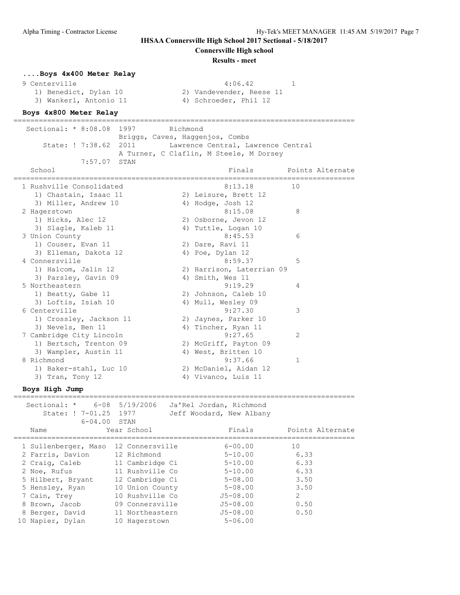**Connersville High school**

#### **Results - meet**

# **....Boys 4x400 Meter Relay**

1) Benedict, Dylan 10 2) Vandevender, Reese 11

- 3) Wankerl, Antonio 11 4) Schroeder, Phil 12
- 9 Centerville 1 and 1 and 1 and 1 and 1 and 1 and 1 and 1 and 1 and 1 and 1 and 1 and 1 and 1 and 1 and 1 and 1

#### **Boys 4x800 Meter Relay**

| --------------------      |                                             |                                         |                         |                  |
|---------------------------|---------------------------------------------|-----------------------------------------|-------------------------|------------------|
| Sectional: * 8:08.08 1997 | Richmond<br>Briggs, Caves, Haggenjos, Combs |                                         |                         |                  |
| State: ! 7:38.62 2011     |                                             | Lawrence Central, Lawrence Central      |                         |                  |
|                           |                                             | A Turner, C Claflin, M Steele, M Dorsey |                         |                  |
| 7:57.07 STAN              |                                             |                                         |                         |                  |
| School                    |                                             | Finals                                  | _______________________ | Points Alternate |
| 1 Rushville Consolidated  |                                             | 8:13.18                                 | 10                      |                  |
| 1) Chastain, Isaac 11     |                                             | 2) Leisure, Brett 12                    |                         |                  |
| 3) Miller, Andrew 10      |                                             | 4) Hodge, Josh 12                       |                         |                  |
| 2 Hagerstown              |                                             | 8:15.08                                 | 8                       |                  |
| 1) Hicks, Alec 12         |                                             | 2) Osborne, Jevon 12                    |                         |                  |
| 3) Slagle, Kaleb 11       |                                             | 4) Tuttle, Logan 10                     |                         |                  |
| 3 Union County            |                                             | 8:45.53                                 | 6                       |                  |
| 1) Couser, Evan 11        |                                             | 2) Dare, Ravi 11                        |                         |                  |
| 3) Elleman, Dakota 12     |                                             | 4) Poe, Dylan 12                        |                         |                  |
| 4 Connersville            |                                             | 8:59.37                                 | 5                       |                  |
| 1) Halcom, Jalin 12       |                                             | 2) Harrison, Laterrian 09               |                         |                  |
| 3) Parsley, Gavin 09      |                                             | 4) Smith, Wes 11                        |                         |                  |
| 5 Northeastern            |                                             | 9:19.29                                 | 4                       |                  |
| 1) Beatty, Gabe 11        |                                             | 2) Johnson, Caleb 10                    |                         |                  |
| 3) Loftis, Isiah 10       |                                             | 4) Mull, Wesley 09                      |                         |                  |
| 6 Centerville             |                                             | 9:27.30                                 | 3                       |                  |
| 1) Crossley, Jackson 11   |                                             | 2) Jaynes, Parker 10                    |                         |                  |
| 3) Nevels, Ben 11         |                                             | 4) Tincher, Ryan 11                     |                         |                  |
| 7 Cambridge City Lincoln  |                                             | 9:27.65                                 | 2                       |                  |
| 1) Bertsch, Trenton 09    |                                             | 2) McGriff, Payton 09                   |                         |                  |
| 3) Wampler, Austin 11     |                                             | 4) West, Britten 10                     |                         |                  |

8 Richmond 9:37.66 1

 1) Baker-stahl, Luc 10 2) McDaniel, Aidan 12 3) Tran, Tony 12 (4) Vivanco, Luis 11

**Boys High Jump**

| Sectional: *         |      | 6-08 5/19/2006  | Ja'Rel Jordan, Richmond  |               |                  |
|----------------------|------|-----------------|--------------------------|---------------|------------------|
| State: ! 7-01.25     | 1977 |                 | Jeff Woodard, New Albany |               |                  |
| $6 - 04.00$ STAN     |      |                 |                          |               |                  |
| Name                 |      | Year School     | Finals                   |               | Points Alternate |
|                      |      |                 |                          |               |                  |
| 1 Sullenberger, Maso |      | 12 Connersville | $6 - 00.00$              | 10            |                  |
| 2 Farris, Davion     |      | 12 Richmond     | $5 - 10.00$              | 6.33          |                  |
| 2 Craig, Caleb       |      | 11 Cambridge Ci | $5 - 10.00$              | 6.33          |                  |
| 2 Noe, Rufus         |      | 11 Rushville Co | $5 - 10.00$              | 6.33          |                  |
| 5 Hilbert, Bryant    |      | 12 Cambridge Ci | $5 - 08.00$              | 3.50          |                  |
| 5 Hensley, Ryan      |      | 10 Union County | $5 - 08.00$              | 3.50          |                  |
| 7 Cain, Trey         |      | 10 Rushville Co | $J5 - 08.00$             | $\mathcal{L}$ |                  |
| 8 Brown, Jacob       |      | 09 Connersville | $J5 - 08.00$             | 0.50          |                  |
| 8 Berger, David      |      | 11 Northeastern | $J5 - 08.00$             | 0.50          |                  |
| 10 Napier, Dylan     |      | 10 Hagerstown   | $5 - 06.00$              |               |                  |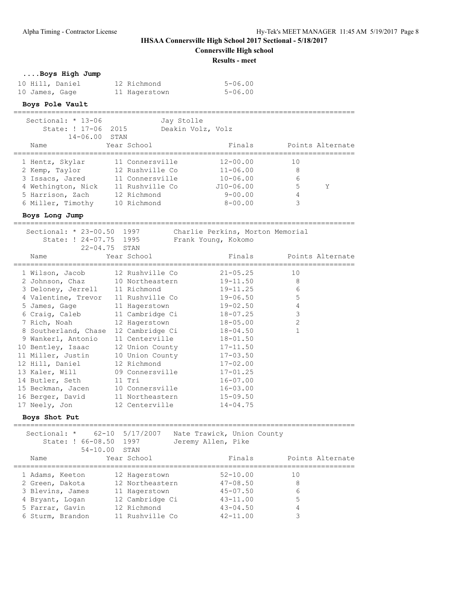**Connersville High school**

**Results - meet**

## **....Boys High Jump**

| 10 Hill, Daniel | 12 Richmond   | $5 - 06.00$ |
|-----------------|---------------|-------------|
| 10 James, Gage  | 11 Hagerstown | $5 - 06.00$ |

## **Boys Pole Vault**

| Sectional: $* 13-06$ | Jay Stolle        |              |                  |
|----------------------|-------------------|--------------|------------------|
| State: ! 17-06 2015  | Deakin Volz, Volz |              |                  |
| $14 - 06.00$ STAN    |                   |              |                  |
| Name                 | Year School       | Finals       | Points Alternate |
|                      |                   |              |                  |
| 1 Hentz, Skylar      | 11 Connersville   | $12 - 00.00$ | 1 <sub>0</sub>   |
| 2 Kemp, Taylor       | 12 Rushville Co   | $11 - 06.00$ | 8                |
| 3 Issacs, Jared      | 11 Connersville   | $10 - 06.00$ | 6                |
| 4 Wethington, Nick   | 11 Rushville Co   | $J10-06.00$  | 5<br>Y           |
| 5 Harrison, Zach     | 12 Richmond       | $9 - 00.00$  | 4                |
| 6 Miller, Timothy    | 10 Richmond       | $8 - 00.00$  | 3                |
|                      |                   |              |                  |

#### **Boys Long Jump**

================================================================================= Sectional: \* 23-00.50 1997 Charlie Perkins, Morton Memorial

| Sectional: ^ 23-00.50 1997                 |             | Charlie Perkins, Morton Memorial                |                         |
|--------------------------------------------|-------------|-------------------------------------------------|-------------------------|
|                                            |             | State: ! 24-07.75 1995 Frank Young, Kokomo      |                         |
| $22 - 04.75$ STAN                          |             |                                                 |                         |
| Name                                       | Year School |                                                 | Finals Points Alternate |
|                                            |             | 1 Wilson, Jacob 12 Rushville Co 21-05.25        | 10                      |
|                                            |             | 2 Johnson, Chaz 10 Northeastern 19-11.50        | 8                       |
|                                            |             | 3 Deloney, Jerrell 11 Richmond 19-11.25         | 6                       |
|                                            |             | 4 Valentine, Trevor 11 Rushville Co    19-06.50 | 5                       |
|                                            |             | 5 James, Gage 11 Hagerstown 19-02.50            | $\overline{4}$          |
|                                            |             | 6 Craig, Caleb 11 Cambridge Ci 18-07.25         | 3                       |
|                                            |             |                                                 | $\overline{2}$          |
| 8 Southerland, Chase                       |             | 12 Cambridge Ci 18-04.50                        |                         |
| 9 Wankerl, Antonio                         |             | 11 Centerville 18-01.50                         |                         |
| 10 Bentley, Isaac 12 Union County 17-11.50 |             |                                                 |                         |
| 11 Miller, Justin 10 Union County 17-03.50 |             |                                                 |                         |
| 12 Hill, Daniel                            |             | 12 Richmond 17-02.00                            |                         |
|                                            |             | 13 Kaler, Will 09 Connersville 17-01.25         |                         |
| 14 Butler, Seth 11 Tri                     |             | $16 - 07.00$                                    |                         |
| 15 Beckman, Jacen 10 Connersville 16-03.00 |             |                                                 |                         |
| 16 Berger, David 11 Northeastern 15-09.50  |             |                                                 |                         |
| 17 Neely, Jon 12 Centerville 14-04.75      |             |                                                 |                         |
|                                            |             |                                                 |                         |

## **Boys Shot Put**

=================================================================================

|                  | Sectional: * 62-10 5/17/2007<br>State: ! 66-08.50 1997 | Nate Trawick, Union County<br>Jeremy Allen, Pike |                  |
|------------------|--------------------------------------------------------|--------------------------------------------------|------------------|
|                  | $54 - 10.00$<br>STAN                                   |                                                  |                  |
| Name             | Year School                                            | Finals                                           | Points Alternate |
| 1 Adams, Keeton  | 12 Hagerstown                                          | $52 - 10.00$                                     | 10               |
| 2 Green, Dakota  | 12 Northeastern                                        | $47 - 08.50$                                     | 8                |
| 3 Blevins, James | 11 Hagerstown                                          | $45 - 07.50$                                     | 6                |
| 4 Bryant, Logan  | 12 Cambridge Ci                                        | $43 - 11.00$                                     | 5                |
| 5 Farrar, Gavin  | 12 Richmond                                            | $43 - 04.50$                                     | 4                |
| 6 Sturm, Brandon | 11 Rushville Co                                        | $42 - 11.00$                                     | 3                |